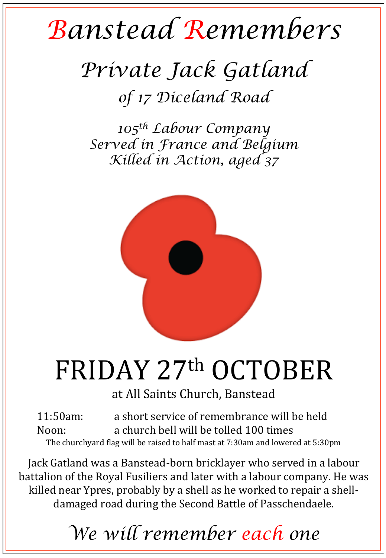## *Banstead Remembers*

## *Private Jack Gatland of 17 Diceland Road*

*105th Labour Company Served in France and Belgium Killed in Action, aged 37* 



## FRIDAY 27th OCTOBER

at All Saints Church, Banstead

11:50am: a short service of remembrance will be held Noon: a church bell will be tolled 100 times The churchyard flag will be raised to half mast at 7:30am and lowered at 5:30pm

Jack Gatland was a Banstead-born bricklayer who served in a labour battalion of the Royal Fusiliers and later with a labour company. He was killed near Ypres, probably by a shell as he worked to repair a shelldamaged road during the Second Battle of Passchendaele.

*We will remember each one*